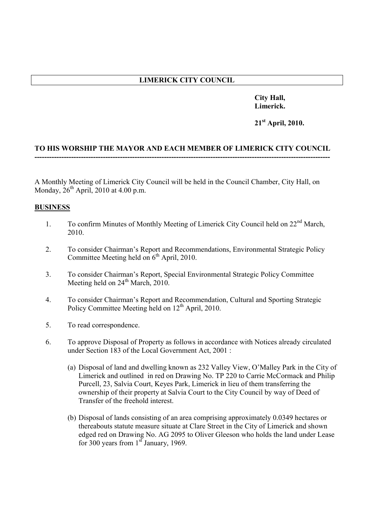# **LIMERICK CITY COUNCIL**

# **City Hall, Limerick.**

**21st April, 2010.** 

#### **TO HIS WORSHIP THE MAYOR AND EACH MEMBER OF LIMERICK CITY COUNCIL -------------------------------------------------------------------------------------------------------------------------**

A Monthly Meeting of Limerick City Council will be held in the Council Chamber, City Hall, on Monday,  $26^{th}$  April, 2010 at 4.00 p.m.

### **BUSINESS**

- 1. To confirm Minutes of Monthly Meeting of Limerick City Council held on 22nd March, 2010.
- 2. To consider Chairman's Report and Recommendations, Environmental Strategic Policy Committee Meeting held on  $6<sup>th</sup>$  April, 2010.
- 3. To consider Chairman's Report, Special Environmental Strategic Policy Committee Meeting held on  $24<sup>th</sup>$  March, 2010.
- 4. To consider Chairman's Report and Recommendation, Cultural and Sporting Strategic Policy Committee Meeting held on  $12<sup>th</sup>$  April, 2010.
- 5. To read correspondence.
- 6. To approve Disposal of Property as follows in accordance with Notices already circulated under Section 183 of the Local Government Act, 2001 :
	- (a) Disposal of land and dwelling known as 232 Valley View, O'Malley Park in the City of Limerick and outlined in red on Drawing No. TP 220 to Carrie McCormack and Philip Purcell, 23, Salvia Court, Keyes Park, Limerick in lieu of them transferring the ownership of their property at Salvia Court to the City Council by way of Deed of Transfer of the freehold interest.
	- (b) Disposal of lands consisting of an area comprising approximately 0.0349 hectares or thereabouts statute measure situate at Clare Street in the City of Limerick and shown edged red on Drawing No. AG 2095 to Oliver Gleeson who holds the land under Lease for 300 years from  $1<sup>st</sup>$  January, 1969.